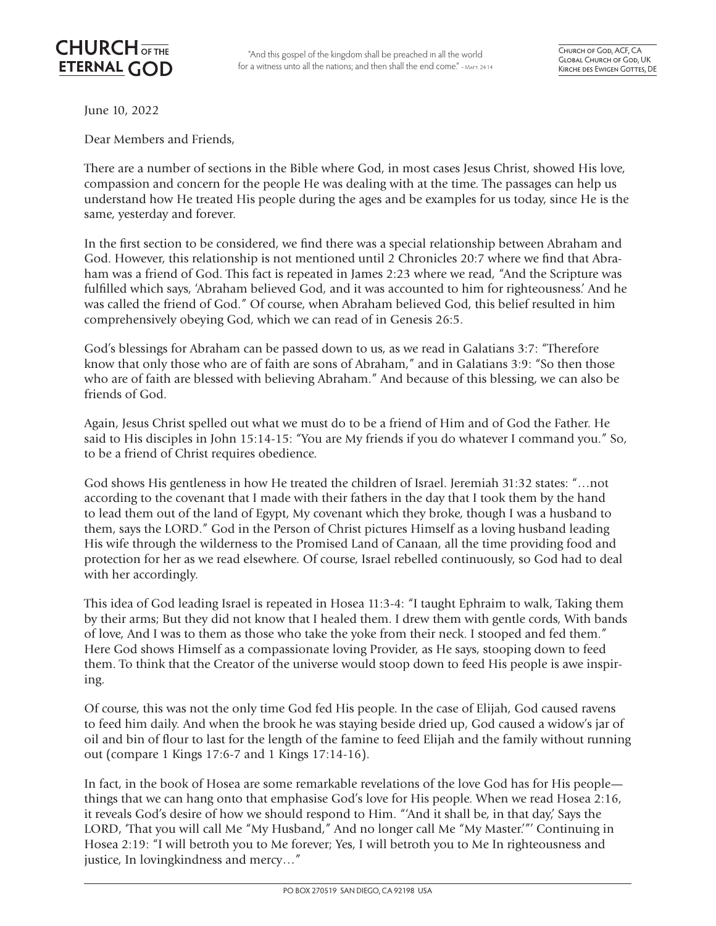"And this gospel of the kingdom shall be preached in all the world for a witness unto all the nations; and then shall the end come." - MATT. 24:14

June 10, 2022

Dear Members and Friends,

There are a number of sections in the Bible where God, in most cases Jesus Christ, showed His love, compassion and concern for the people He was dealing with at the time. The passages can help us understand how He treated His people during the ages and be examples for us today, since He is the same, yesterday and forever.

In the first section to be considered, we find there was a special relationship between Abraham and God. However, this relationship is not mentioned until 2 Chronicles 20:7 where we find that Abraham was a friend of God. This fact is repeated in James 2:23 where we read, "And the Scripture was fulfilled which says, 'Abraham believed God, and it was accounted to him for righteousness.' And he was called the friend of God." Of course, when Abraham believed God, this belief resulted in him comprehensively obeying God, which we can read of in Genesis 26:5.

God's blessings for Abraham can be passed down to us, as we read in Galatians 3:7: "Therefore know that only those who are of faith are sons of Abraham," and in Galatians 3:9: "So then those who are of faith are blessed with believing Abraham." And because of this blessing, we can also be friends of God.

Again, Jesus Christ spelled out what we must do to be a friend of Him and of God the Father. He said to His disciples in John 15:14-15: "You are My friends if you do whatever I command you." So, to be a friend of Christ requires obedience.

God shows His gentleness in how He treated the children of Israel. Jeremiah 31:32 states: "…not according to the covenant that I made with their fathers in the day that I took them by the hand to lead them out of the land of Egypt, My covenant which they broke, though I was a husband to them, says the LORD." God in the Person of Christ pictures Himself as a loving husband leading His wife through the wilderness to the Promised Land of Canaan, all the time providing food and protection for her as we read elsewhere. Of course, Israel rebelled continuously, so God had to deal with her accordingly.

This idea of God leading Israel is repeated in Hosea 11:3-4: "I taught Ephraim to walk, Taking them by their arms; But they did not know that I healed them. I drew them with gentle cords, With bands of love, And I was to them as those who take the yoke from their neck. I stooped and fed them." Here God shows Himself as a compassionate loving Provider, as He says, stooping down to feed them. To think that the Creator of the universe would stoop down to feed His people is awe inspiring.

Of course, this was not the only time God fed His people. In the case of Elijah, God caused ravens to feed him daily. And when the brook he was staying beside dried up, God caused a widow's jar of oil and bin of flour to last for the length of the famine to feed Elijah and the family without running out (compare 1 Kings 17:6-7 and 1 Kings 17:14-16).

In fact, in the book of Hosea are some remarkable revelations of the love God has for His people things that we can hang onto that emphasise God's love for His people. When we read Hosea 2:16, it reveals God's desire of how we should respond to Him. "'And it shall be, in that day,' Says the LORD, 'That you will call Me "My Husband," And no longer call Me "My Master.'"' Continuing in Hosea 2:19: "I will betroth you to Me forever; Yes, I will betroth you to Me In righteousness and justice, In lovingkindness and mercy…"